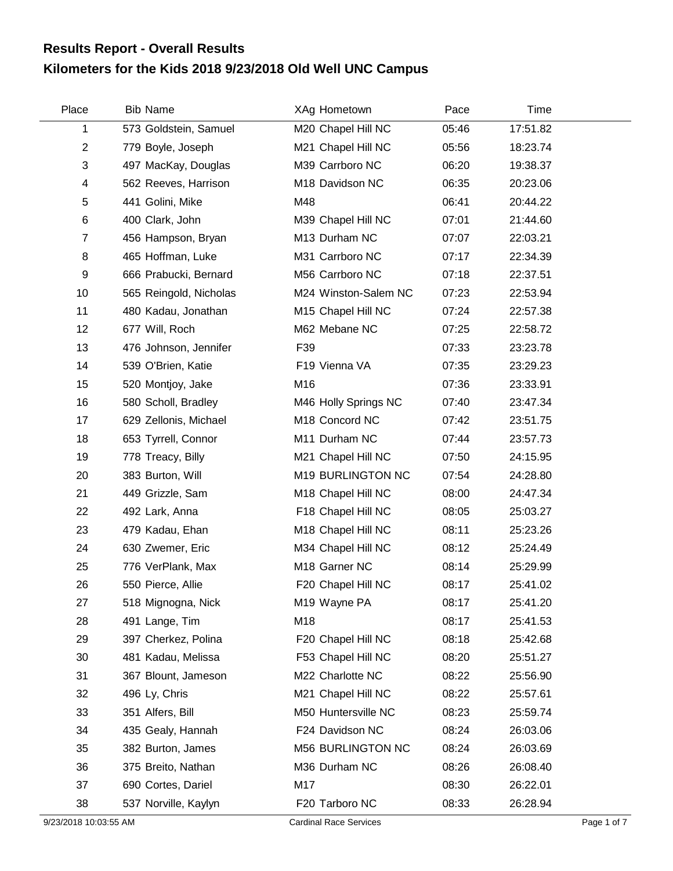## **Kilometers for the Kids 2018 9/23/2018 Old Well UNC Campus Results Report - Overall Results**

| Place          | <b>Bib Name</b>        | XAg Hometown         | Pace  | Time     |  |
|----------------|------------------------|----------------------|-------|----------|--|
| 1              | 573 Goldstein, Samuel  | M20 Chapel Hill NC   | 05:46 | 17:51.82 |  |
| $\overline{2}$ | 779 Boyle, Joseph      | M21 Chapel Hill NC   | 05:56 | 18:23.74 |  |
| 3              | 497 MacKay, Douglas    | M39 Carrboro NC      | 06:20 | 19:38.37 |  |
| 4              | 562 Reeves, Harrison   | M18 Davidson NC      | 06:35 | 20:23.06 |  |
| 5              | 441 Golini, Mike       | M48                  | 06:41 | 20:44.22 |  |
| 6              | 400 Clark, John        | M39 Chapel Hill NC   | 07:01 | 21:44.60 |  |
| $\overline{7}$ | 456 Hampson, Bryan     | M13 Durham NC        | 07:07 | 22:03.21 |  |
| 8              | 465 Hoffman, Luke      | M31 Carrboro NC      | 07:17 | 22:34.39 |  |
| 9              | 666 Prabucki, Bernard  | M56 Carrboro NC      | 07:18 | 22:37.51 |  |
| 10             | 565 Reingold, Nicholas | M24 Winston-Salem NC | 07:23 | 22:53.94 |  |
| 11             | 480 Kadau, Jonathan    | M15 Chapel Hill NC   | 07:24 | 22:57.38 |  |
| 12             | 677 Will, Roch         | M62 Mebane NC        | 07:25 | 22:58.72 |  |
| 13             | 476 Johnson, Jennifer  | F39                  | 07:33 | 23:23.78 |  |
| 14             | 539 O'Brien, Katie     | F19 Vienna VA        | 07:35 | 23:29.23 |  |
| 15             | 520 Montjoy, Jake      | M16                  | 07:36 | 23:33.91 |  |
| 16             | 580 Scholl, Bradley    | M46 Holly Springs NC | 07:40 | 23:47.34 |  |
| 17             | 629 Zellonis, Michael  | M18 Concord NC       | 07:42 | 23:51.75 |  |
| 18             | 653 Tyrrell, Connor    | M11 Durham NC        | 07:44 | 23:57.73 |  |
| 19             | 778 Treacy, Billy      | M21 Chapel Hill NC   | 07:50 | 24:15.95 |  |
| 20             | 383 Burton, Will       | M19 BURLINGTON NC    | 07:54 | 24:28.80 |  |
| 21             | 449 Grizzle, Sam       | M18 Chapel Hill NC   | 08:00 | 24:47.34 |  |
| 22             | 492 Lark, Anna         | F18 Chapel Hill NC   | 08:05 | 25:03.27 |  |
| 23             | 479 Kadau, Ehan        | M18 Chapel Hill NC   | 08:11 | 25:23.26 |  |
| 24             | 630 Zwemer, Eric       | M34 Chapel Hill NC   | 08:12 | 25:24.49 |  |
| 25             | 776 VerPlank, Max      | M18 Garner NC        | 08:14 | 25:29.99 |  |
| 26             | 550 Pierce, Allie      | F20 Chapel Hill NC   | 08:17 | 25:41.02 |  |
| 27             | 518 Mignogna, Nick     | M19 Wayne PA         | 08:17 | 25:41.20 |  |
| 28             | 491 Lange, Tim         | M18                  | 08:17 | 25:41.53 |  |
| 29             | 397 Cherkez, Polina    | F20 Chapel Hill NC   | 08:18 | 25:42.68 |  |
| 30             | 481 Kadau, Melissa     | F53 Chapel Hill NC   | 08:20 | 25:51.27 |  |
| 31             | 367 Blount, Jameson    | M22 Charlotte NC     | 08:22 | 25:56.90 |  |
| 32             | 496 Ly, Chris          | M21 Chapel Hill NC   | 08:22 | 25:57.61 |  |
| 33             | 351 Alfers, Bill       | M50 Huntersville NC  | 08:23 | 25:59.74 |  |
| 34             | 435 Gealy, Hannah      | F24 Davidson NC      | 08:24 | 26:03.06 |  |
| 35             | 382 Burton, James      | M56 BURLINGTON NC    | 08:24 | 26:03.69 |  |
| 36             | 375 Breito, Nathan     | M36 Durham NC        | 08:26 | 26:08.40 |  |
| 37             | 690 Cortes, Dariel     | M17                  | 08:30 | 26:22.01 |  |
| 38             | 537 Norville, Kaylyn   | F20 Tarboro NC       | 08:33 | 26:28.94 |  |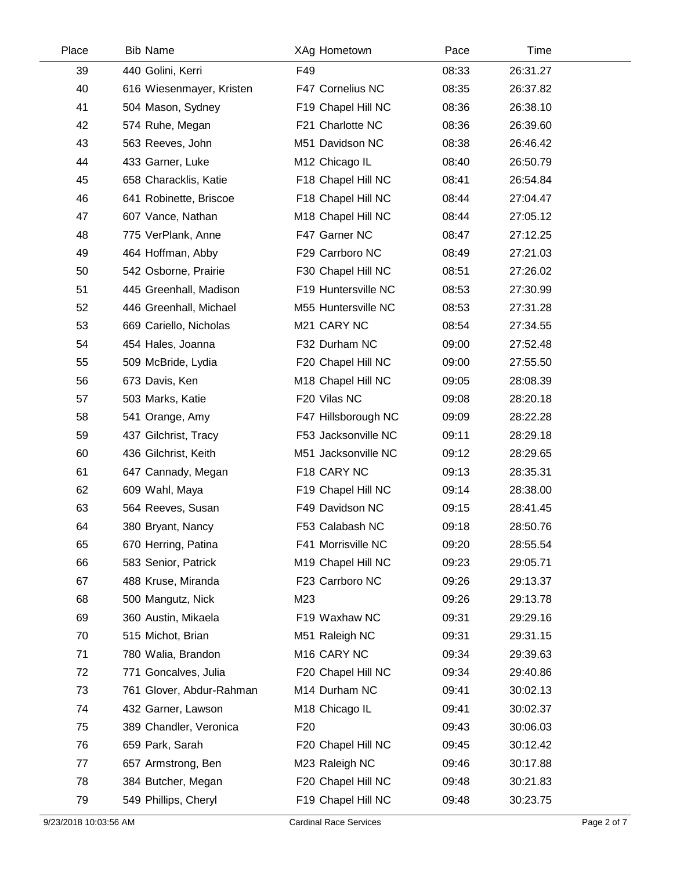| Place | <b>Bib Name</b>          | XAg Hometown               | Pace  | Time     |  |
|-------|--------------------------|----------------------------|-------|----------|--|
| 39    | 440 Golini, Kerri        | F49                        | 08:33 | 26:31.27 |  |
| 40    | 616 Wiesenmayer, Kristen | F47 Cornelius NC           | 08:35 | 26:37.82 |  |
| 41    | 504 Mason, Sydney        | F19 Chapel Hill NC         | 08:36 | 26:38.10 |  |
| 42    | 574 Ruhe, Megan          | F21 Charlotte NC           | 08:36 | 26:39.60 |  |
| 43    | 563 Reeves, John         | M51 Davidson NC            | 08:38 | 26:46.42 |  |
| 44    | 433 Garner, Luke         | M12 Chicago IL             | 08:40 | 26:50.79 |  |
| 45    | 658 Characklis, Katie    | F18 Chapel Hill NC         | 08:41 | 26:54.84 |  |
| 46    | 641 Robinette, Briscoe   | F18 Chapel Hill NC         | 08:44 | 27:04.47 |  |
| 47    | 607 Vance, Nathan        | M18 Chapel Hill NC         | 08:44 | 27:05.12 |  |
| 48    | 775 VerPlank, Anne       | F47 Garner NC              | 08:47 | 27:12.25 |  |
| 49    | 464 Hoffman, Abby        | F29 Carrboro NC            | 08:49 | 27:21.03 |  |
| 50    | 542 Osborne, Prairie     | F30 Chapel Hill NC         | 08:51 | 27:26.02 |  |
| 51    | 445 Greenhall, Madison   | F19 Huntersville NC        | 08:53 | 27:30.99 |  |
| 52    | 446 Greenhall, Michael   | M55 Huntersville NC        | 08:53 | 27:31.28 |  |
| 53    | 669 Cariello, Nicholas   | M21 CARY NC                | 08:54 | 27:34.55 |  |
| 54    | 454 Hales, Joanna        | F32 Durham NC              | 09:00 | 27:52.48 |  |
| 55    | 509 McBride, Lydia       | F20 Chapel Hill NC         | 09:00 | 27:55.50 |  |
| 56    | 673 Davis, Ken           | M18 Chapel Hill NC         | 09:05 | 28:08.39 |  |
| 57    | 503 Marks, Katie         | F20 Vilas NC               | 09:08 | 28:20.18 |  |
| 58    | 541 Orange, Amy          | F47 Hillsborough NC        | 09:09 | 28:22.28 |  |
| 59    | 437 Gilchrist, Tracy     | F53 Jacksonville NC        | 09:11 | 28:29.18 |  |
| 60    | 436 Gilchrist, Keith     | M51 Jacksonville NC        | 09:12 | 28:29.65 |  |
| 61    | 647 Cannady, Megan       | F18 CARY NC                | 09:13 | 28:35.31 |  |
| 62    | 609 Wahl, Maya           | F19 Chapel Hill NC         | 09:14 | 28:38.00 |  |
| 63    | 564 Reeves, Susan        | F49 Davidson NC            | 09:15 | 28:41.45 |  |
| 64    | 380 Bryant, Nancy        | F53 Calabash NC            | 09:18 | 28:50.76 |  |
| 65    | 670 Herring, Patina      | F41 Morrisville NC         | 09:20 | 28:55.54 |  |
| 66    | 583 Senior, Patrick      | M19 Chapel Hill NC         | 09:23 | 29:05.71 |  |
| 67    | 488 Kruse, Miranda       | F23 Carrboro NC            | 09:26 | 29:13.37 |  |
| 68    | 500 Mangutz, Nick        | M23                        | 09:26 | 29:13.78 |  |
| 69    | 360 Austin, Mikaela      | F19 Waxhaw NC              | 09:31 | 29:29.16 |  |
| 70    | 515 Michot, Brian        | M51 Raleigh NC             | 09:31 | 29:31.15 |  |
| 71    | 780 Walia, Brandon       | M16 CARY NC                | 09:34 | 29:39.63 |  |
| 72    | 771 Goncalves, Julia     | F20 Chapel Hill NC         | 09:34 | 29:40.86 |  |
| 73    | 761 Glover, Abdur-Rahman | M14 Durham NC              | 09:41 | 30:02.13 |  |
| 74    | 432 Garner, Lawson       | M <sub>18</sub> Chicago IL | 09:41 | 30:02.37 |  |
| 75    | 389 Chandler, Veronica   | F <sub>20</sub>            | 09:43 | 30:06.03 |  |
| 76    | 659 Park, Sarah          | F20 Chapel Hill NC         | 09:45 | 30:12.42 |  |
| 77    | 657 Armstrong, Ben       | M23 Raleigh NC             | 09:46 | 30:17.88 |  |
| 78    | 384 Butcher, Megan       | F20 Chapel Hill NC         | 09:48 | 30:21.83 |  |
| 79    | 549 Phillips, Cheryl     | F19 Chapel Hill NC         | 09:48 | 30:23.75 |  |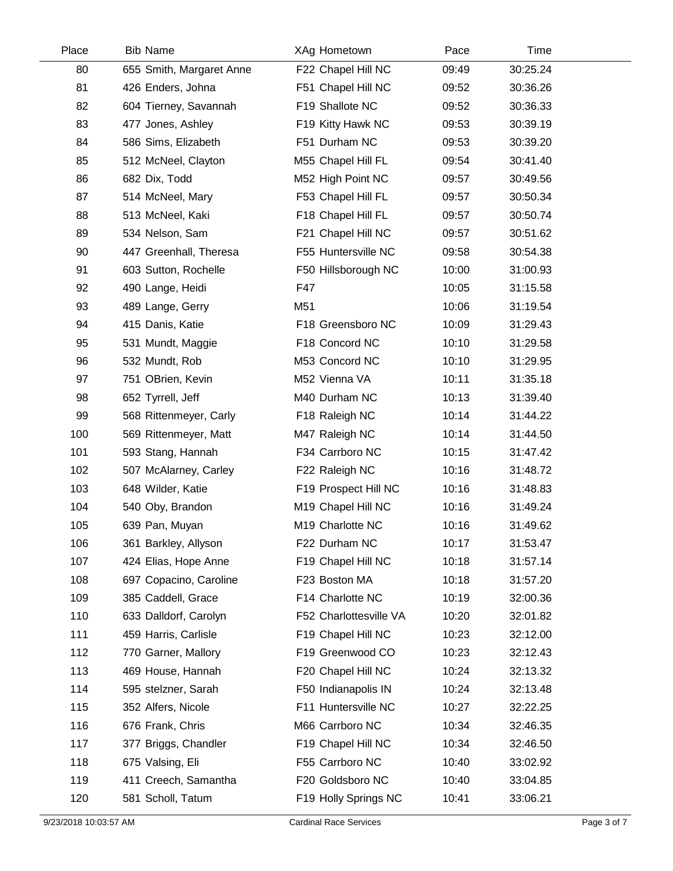| Place | <b>Bib Name</b>          | XAg Hometown           | Pace  | Time     |  |
|-------|--------------------------|------------------------|-------|----------|--|
| 80    | 655 Smith, Margaret Anne | F22 Chapel Hill NC     | 09:49 | 30:25.24 |  |
| 81    | 426 Enders, Johna        | F51 Chapel Hill NC     | 09:52 | 30:36.26 |  |
| 82    | 604 Tierney, Savannah    | F19 Shallote NC        | 09:52 | 30:36.33 |  |
| 83    | 477 Jones, Ashley        | F19 Kitty Hawk NC      | 09:53 | 30:39.19 |  |
| 84    | 586 Sims, Elizabeth      | F51 Durham NC          | 09:53 | 30:39.20 |  |
| 85    | 512 McNeel, Clayton      | M55 Chapel Hill FL     | 09:54 | 30:41.40 |  |
| 86    | 682 Dix, Todd            | M52 High Point NC      | 09:57 | 30:49.56 |  |
| 87    | 514 McNeel, Mary         | F53 Chapel Hill FL     | 09:57 | 30:50.34 |  |
| 88    | 513 McNeel, Kaki         | F18 Chapel Hill FL     | 09:57 | 30:50.74 |  |
| 89    | 534 Nelson, Sam          | F21 Chapel Hill NC     | 09:57 | 30:51.62 |  |
| 90    | 447 Greenhall, Theresa   | F55 Huntersville NC    | 09:58 | 30:54.38 |  |
| 91    | 603 Sutton, Rochelle     | F50 Hillsborough NC    | 10:00 | 31:00.93 |  |
| 92    | 490 Lange, Heidi         | F47                    | 10:05 | 31:15.58 |  |
| 93    | 489 Lange, Gerry         | M51                    | 10:06 | 31:19.54 |  |
| 94    | 415 Danis, Katie         | F18 Greensboro NC      | 10:09 | 31:29.43 |  |
| 95    | 531 Mundt, Maggie        | F18 Concord NC         | 10:10 | 31:29.58 |  |
| 96    | 532 Mundt, Rob           | M53 Concord NC         | 10:10 | 31:29.95 |  |
| 97    | 751 OBrien, Kevin        | M52 Vienna VA          | 10:11 | 31:35.18 |  |
| 98    | 652 Tyrrell, Jeff        | M40 Durham NC          | 10:13 | 31:39.40 |  |
| 99    | 568 Rittenmeyer, Carly   | F18 Raleigh NC         | 10:14 | 31:44.22 |  |
| 100   | 569 Rittenmeyer, Matt    | M47 Raleigh NC         | 10:14 | 31:44.50 |  |
| 101   | 593 Stang, Hannah        | F34 Carrboro NC        | 10:15 | 31:47.42 |  |
| 102   | 507 McAlarney, Carley    | F22 Raleigh NC         | 10:16 | 31:48.72 |  |
| 103   | 648 Wilder, Katie        | F19 Prospect Hill NC   | 10:16 | 31:48.83 |  |
| 104   | 540 Oby, Brandon         | M19 Chapel Hill NC     | 10:16 | 31:49.24 |  |
| 105   | 639 Pan, Muyan           | M19 Charlotte NC       | 10:16 | 31:49.62 |  |
| 106   | 361 Barkley, Allyson     | F22 Durham NC          | 10:17 | 31:53.47 |  |
| 107   | 424 Elias, Hope Anne     | F19 Chapel Hill NC     | 10:18 | 31:57.14 |  |
| 108   | 697 Copacino, Caroline   | F23 Boston MA          | 10:18 | 31:57.20 |  |
| 109   | 385 Caddell, Grace       | F14 Charlotte NC       | 10:19 | 32:00.36 |  |
| 110   | 633 Dalldorf, Carolyn    | F52 Charlottesville VA | 10:20 | 32:01.82 |  |
| 111   | 459 Harris, Carlisle     | F19 Chapel Hill NC     | 10:23 | 32:12.00 |  |
| 112   | 770 Garner, Mallory      | F19 Greenwood CO       | 10:23 | 32:12.43 |  |
| 113   | 469 House, Hannah        | F20 Chapel Hill NC     | 10:24 | 32:13.32 |  |
| 114   | 595 stelzner, Sarah      | F50 Indianapolis IN    | 10:24 | 32:13.48 |  |
| 115   | 352 Alfers, Nicole       | F11 Huntersville NC    | 10:27 | 32:22.25 |  |
| 116   | 676 Frank, Chris         | M66 Carrboro NC        | 10:34 | 32:46.35 |  |
| 117   | 377 Briggs, Chandler     | F19 Chapel Hill NC     | 10:34 | 32:46.50 |  |
| 118   | 675 Valsing, Eli         | F55 Carrboro NC        | 10:40 | 33:02.92 |  |
| 119   | 411 Creech, Samantha     | F20 Goldsboro NC       | 10:40 | 33:04.85 |  |
| 120   | 581 Scholl, Tatum        | F19 Holly Springs NC   | 10:41 | 33:06.21 |  |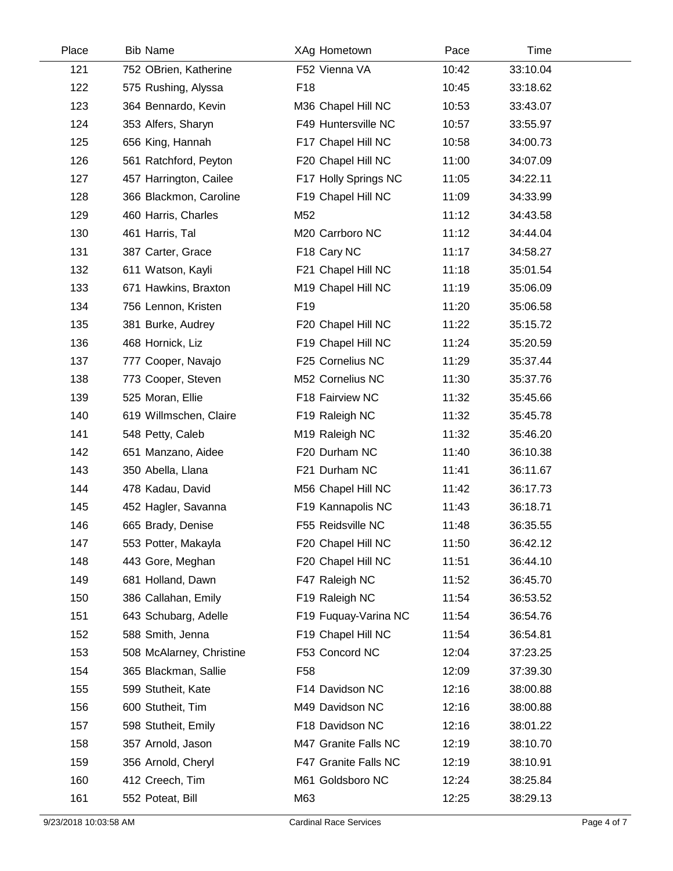| Place | <b>Bib Name</b>          | XAg Hometown         | Pace  | <b>Time</b> |  |
|-------|--------------------------|----------------------|-------|-------------|--|
| 121   | 752 OBrien, Katherine    | F52 Vienna VA        | 10:42 | 33:10.04    |  |
| 122   | 575 Rushing, Alyssa      | F18                  | 10:45 | 33:18.62    |  |
| 123   | 364 Bennardo, Kevin      | M36 Chapel Hill NC   | 10:53 | 33:43.07    |  |
| 124   | 353 Alfers, Sharyn       | F49 Huntersville NC  | 10:57 | 33:55.97    |  |
| 125   | 656 King, Hannah         | F17 Chapel Hill NC   | 10:58 | 34:00.73    |  |
| 126   | 561 Ratchford, Peyton    | F20 Chapel Hill NC   | 11:00 | 34:07.09    |  |
| 127   | 457 Harrington, Cailee   | F17 Holly Springs NC | 11:05 | 34:22.11    |  |
| 128   | 366 Blackmon, Caroline   | F19 Chapel Hill NC   | 11:09 | 34:33.99    |  |
| 129   | 460 Harris, Charles      | M52                  | 11:12 | 34:43.58    |  |
| 130   | 461 Harris, Tal          | M20 Carrboro NC      | 11:12 | 34:44.04    |  |
| 131   | 387 Carter, Grace        | F18 Cary NC          | 11:17 | 34:58.27    |  |
| 132   | 611 Watson, Kayli        | F21 Chapel Hill NC   | 11:18 | 35:01.54    |  |
| 133   | 671 Hawkins, Braxton     | M19 Chapel Hill NC   | 11:19 | 35:06.09    |  |
| 134   | 756 Lennon, Kristen      | F <sub>19</sub>      | 11:20 | 35:06.58    |  |
| 135   | 381 Burke, Audrey        | F20 Chapel Hill NC   | 11:22 | 35:15.72    |  |
| 136   | 468 Hornick, Liz         | F19 Chapel Hill NC   | 11:24 | 35:20.59    |  |
| 137   | 777 Cooper, Navajo       | F25 Cornelius NC     | 11:29 | 35:37.44    |  |
| 138   | 773 Cooper, Steven       | M52 Cornelius NC     | 11:30 | 35:37.76    |  |
| 139   | 525 Moran, Ellie         | F18 Fairview NC      | 11:32 | 35:45.66    |  |
| 140   | 619 Willmschen, Claire   | F19 Raleigh NC       | 11:32 | 35:45.78    |  |
| 141   | 548 Petty, Caleb         | M19 Raleigh NC       | 11:32 | 35:46.20    |  |
| 142   | 651 Manzano, Aidee       | F20 Durham NC        | 11:40 | 36:10.38    |  |
| 143   | 350 Abella, Llana        | F21 Durham NC        | 11:41 | 36:11.67    |  |
| 144   | 478 Kadau, David         | M56 Chapel Hill NC   | 11:42 | 36:17.73    |  |
| 145   | 452 Hagler, Savanna      | F19 Kannapolis NC    | 11:43 | 36:18.71    |  |
| 146   | 665 Brady, Denise        | F55 Reidsville NC    | 11:48 | 36:35.55    |  |
| 147   | 553 Potter, Makayla      | F20 Chapel Hill NC   | 11:50 | 36:42.12    |  |
| 148   | 443 Gore, Meghan         | F20 Chapel Hill NC   | 11:51 | 36:44.10    |  |
| 149   | 681 Holland, Dawn        | F47 Raleigh NC       | 11:52 | 36:45.70    |  |
| 150   | 386 Callahan, Emily      | F19 Raleigh NC       | 11:54 | 36:53.52    |  |
| 151   | 643 Schubarg, Adelle     | F19 Fuquay-Varina NC | 11:54 | 36:54.76    |  |
| 152   | 588 Smith, Jenna         | F19 Chapel Hill NC   | 11:54 | 36:54.81    |  |
| 153   | 508 McAlarney, Christine | F53 Concord NC       | 12:04 | 37:23.25    |  |
| 154   | 365 Blackman, Sallie     | F <sub>58</sub>      | 12:09 | 37:39.30    |  |
| 155   | 599 Stutheit, Kate       | F14 Davidson NC      | 12:16 | 38:00.88    |  |
| 156   | 600 Stutheit, Tim        | M49 Davidson NC      | 12:16 | 38:00.88    |  |
| 157   | 598 Stutheit, Emily      | F18 Davidson NC      | 12:16 | 38:01.22    |  |
| 158   | 357 Arnold, Jason        | M47 Granite Falls NC | 12:19 | 38:10.70    |  |
| 159   | 356 Arnold, Cheryl       | F47 Granite Falls NC | 12:19 | 38:10.91    |  |
| 160   | 412 Creech, Tim          | M61 Goldsboro NC     | 12:24 | 38:25.84    |  |
| 161   | 552 Poteat, Bill         | M63                  | 12:25 | 38:29.13    |  |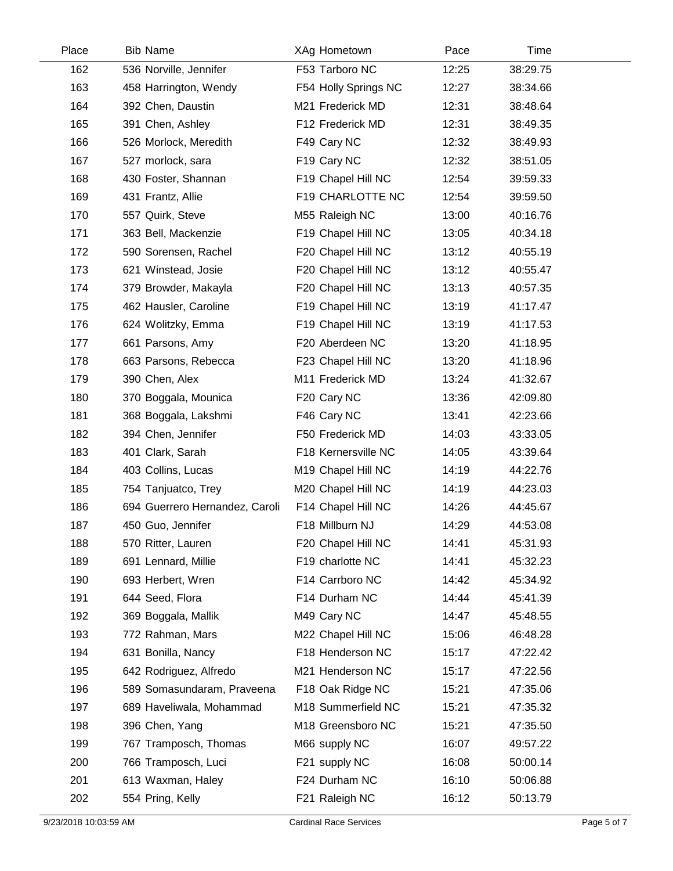| Place | <b>Bib Name</b>                | XAg Hometown         | Pace  | Time     |  |
|-------|--------------------------------|----------------------|-------|----------|--|
| 162   | 536 Norville, Jennifer         | F53 Tarboro NC       | 12:25 | 38:29.75 |  |
| 163   | 458 Harrington, Wendy          | F54 Holly Springs NC | 12:27 | 38:34.66 |  |
| 164   | 392 Chen, Daustin              | M21 Frederick MD     | 12:31 | 38:48.64 |  |
| 165   | 391 Chen, Ashley               | F12 Frederick MD     | 12:31 | 38:49.35 |  |
| 166   | 526 Morlock, Meredith          | F49 Cary NC          | 12:32 | 38:49.93 |  |
| 167   | 527 morlock, sara              | F19 Cary NC          | 12:32 | 38:51.05 |  |
| 168   | 430 Foster, Shannan            | F19 Chapel Hill NC   | 12:54 | 39:59.33 |  |
| 169   | 431 Frantz, Allie              | F19 CHARLOTTE NC     | 12:54 | 39:59.50 |  |
| 170   | 557 Quirk, Steve               | M55 Raleigh NC       | 13:00 | 40:16.76 |  |
| 171   | 363 Bell, Mackenzie            | F19 Chapel Hill NC   | 13:05 | 40:34.18 |  |
| 172   | 590 Sorensen, Rachel           | F20 Chapel Hill NC   | 13:12 | 40:55.19 |  |
| 173   | 621 Winstead, Josie            | F20 Chapel Hill NC   | 13:12 | 40:55.47 |  |
| 174   | 379 Browder, Makayla           | F20 Chapel Hill NC   | 13:13 | 40:57.35 |  |
| 175   | 462 Hausler, Caroline          | F19 Chapel Hill NC   | 13:19 | 41:17.47 |  |
| 176   | 624 Wolitzky, Emma             | F19 Chapel Hill NC   | 13:19 | 41:17.53 |  |
| 177   | 661 Parsons, Amy               | F20 Aberdeen NC      | 13:20 | 41:18.95 |  |
| 178   | 663 Parsons, Rebecca           | F23 Chapel Hill NC   | 13:20 | 41:18.96 |  |
| 179   | 390 Chen, Alex                 | M11 Frederick MD     | 13:24 | 41:32.67 |  |
| 180   | 370 Boggala, Mounica           | F20 Cary NC          | 13:36 | 42:09.80 |  |
| 181   | 368 Boggala, Lakshmi           | F46 Cary NC          | 13:41 | 42:23.66 |  |
| 182   | 394 Chen, Jennifer             | F50 Frederick MD     | 14:03 | 43:33.05 |  |
| 183   | 401 Clark, Sarah               | F18 Kernersville NC  | 14:05 | 43:39.64 |  |
| 184   | 403 Collins, Lucas             | M19 Chapel Hill NC   | 14:19 | 44:22.76 |  |
| 185   | 754 Tanjuatco, Trey            | M20 Chapel Hill NC   | 14:19 | 44:23.03 |  |
| 186   | 694 Guerrero Hernandez, Caroli | F14 Chapel Hill NC   | 14:26 | 44:45.67 |  |
| 187   | 450 Guo, Jennifer              | F18 Millburn NJ      | 14:29 | 44:53.08 |  |
| 188   | 570 Ritter, Lauren             | F20 Chapel Hill NC   | 14:41 | 45:31.93 |  |
| 189   | 691 Lennard, Millie            | F19 charlotte NC     | 14:41 | 45:32.23 |  |
| 190   | 693 Herbert, Wren              | F14 Carrboro NC      | 14:42 | 45:34.92 |  |
| 191   | 644 Seed, Flora                | F14 Durham NC        | 14:44 | 45:41.39 |  |
| 192   | 369 Boggala, Mallik            | M49 Cary NC          | 14:47 | 45:48.55 |  |
| 193   | 772 Rahman, Mars               | M22 Chapel Hill NC   | 15:06 | 46:48.28 |  |
| 194   | 631 Bonilla, Nancy             | F18 Henderson NC     | 15:17 | 47:22.42 |  |
| 195   | 642 Rodriguez, Alfredo         | M21 Henderson NC     | 15:17 | 47:22.56 |  |
| 196   | 589 Somasundaram, Praveena     | F18 Oak Ridge NC     | 15:21 | 47:35.06 |  |
| 197   | 689 Haveliwala, Mohammad       | M18 Summerfield NC   | 15:21 | 47:35.32 |  |
| 198   | 396 Chen, Yang                 | M18 Greensboro NC    | 15:21 | 47:35.50 |  |
| 199   | 767 Tramposch, Thomas          | M66 supply NC        | 16:07 | 49:57.22 |  |
| 200   | 766 Tramposch, Luci            | F21 supply NC        | 16:08 | 50:00.14 |  |
| 201   | 613 Waxman, Haley              | F24 Durham NC        | 16:10 | 50:06.88 |  |
| 202   | 554 Pring, Kelly               | F21 Raleigh NC       | 16:12 | 50:13.79 |  |
|       |                                |                      |       |          |  |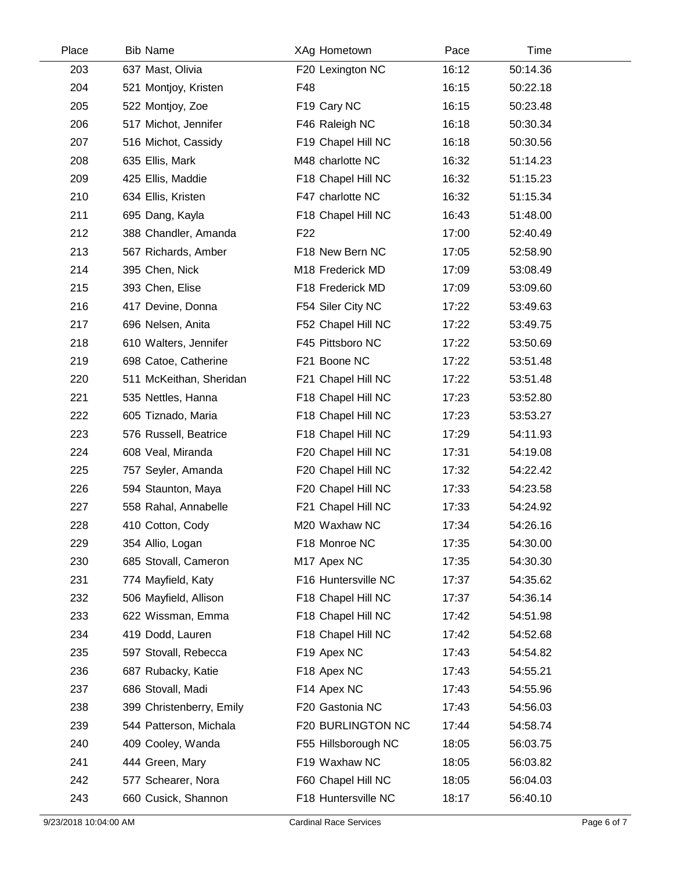| Place | <b>Bib Name</b>          | XAg Hometown        | Pace  | Time     |  |
|-------|--------------------------|---------------------|-------|----------|--|
| 203   | 637 Mast, Olivia         | F20 Lexington NC    | 16:12 | 50:14.36 |  |
| 204   | 521 Montjoy, Kristen     | F48                 | 16:15 | 50:22.18 |  |
| 205   | 522 Montjoy, Zoe         | F19 Cary NC         | 16:15 | 50:23.48 |  |
| 206   | 517 Michot, Jennifer     | F46 Raleigh NC      | 16:18 | 50:30.34 |  |
| 207   | 516 Michot, Cassidy      | F19 Chapel Hill NC  | 16:18 | 50:30.56 |  |
| 208   | 635 Ellis, Mark          | M48 charlotte NC    | 16:32 | 51:14.23 |  |
| 209   | 425 Ellis, Maddie        | F18 Chapel Hill NC  | 16:32 | 51:15.23 |  |
| 210   | 634 Ellis, Kristen       | F47 charlotte NC    | 16:32 | 51:15.34 |  |
| 211   | 695 Dang, Kayla          | F18 Chapel Hill NC  | 16:43 | 51:48.00 |  |
| 212   | 388 Chandler, Amanda     | F <sub>22</sub>     | 17:00 | 52:40.49 |  |
| 213   | 567 Richards, Amber      | F18 New Bern NC     | 17:05 | 52:58.90 |  |
| 214   | 395 Chen, Nick           | M18 Frederick MD    | 17:09 | 53:08.49 |  |
| 215   | 393 Chen, Elise          | F18 Frederick MD    | 17:09 | 53:09.60 |  |
| 216   | 417 Devine, Donna        | F54 Siler City NC   | 17:22 | 53:49.63 |  |
| 217   | 696 Nelsen, Anita        | F52 Chapel Hill NC  | 17:22 | 53:49.75 |  |
| 218   | 610 Walters, Jennifer    | F45 Pittsboro NC    | 17:22 | 53:50.69 |  |
| 219   | 698 Catoe, Catherine     | F21 Boone NC        | 17:22 | 53:51.48 |  |
| 220   | 511 McKeithan, Sheridan  | F21 Chapel Hill NC  | 17:22 | 53:51.48 |  |
| 221   | 535 Nettles, Hanna       | F18 Chapel Hill NC  | 17:23 | 53:52.80 |  |
| 222   | 605 Tiznado, Maria       | F18 Chapel Hill NC  | 17:23 | 53:53.27 |  |
| 223   | 576 Russell, Beatrice    | F18 Chapel Hill NC  | 17:29 | 54:11.93 |  |
| 224   | 608 Veal, Miranda        | F20 Chapel Hill NC  | 17:31 | 54:19.08 |  |
| 225   | 757 Seyler, Amanda       | F20 Chapel Hill NC  | 17:32 | 54:22.42 |  |
| 226   | 594 Staunton, Maya       | F20 Chapel Hill NC  | 17:33 | 54:23.58 |  |
| 227   | 558 Rahal, Annabelle     | F21 Chapel Hill NC  | 17:33 | 54:24.92 |  |
| 228   | 410 Cotton, Cody         | M20 Waxhaw NC       | 17:34 | 54:26.16 |  |
| 229   | 354 Allio, Logan         | F18 Monroe NC       | 17:35 | 54:30.00 |  |
| 230   | 685 Stovall, Cameron     | M17 Apex NC         | 17:35 | 54:30.30 |  |
| 231   | 774 Mayfield, Katy       | F16 Huntersville NC | 17:37 | 54:35.62 |  |
| 232   | 506 Mayfield, Allison    | F18 Chapel Hill NC  | 17:37 | 54:36.14 |  |
| 233   | 622 Wissman, Emma        | F18 Chapel Hill NC  | 17:42 | 54:51.98 |  |
| 234   | 419 Dodd, Lauren         | F18 Chapel Hill NC  | 17:42 | 54:52.68 |  |
| 235   | 597 Stovall, Rebecca     | F19 Apex NC         | 17:43 | 54:54.82 |  |
| 236   | 687 Rubacky, Katie       | F18 Apex NC         | 17:43 | 54:55.21 |  |
| 237   | 686 Stovall, Madi        | F14 Apex NC         | 17:43 | 54:55.96 |  |
| 238   | 399 Christenberry, Emily | F20 Gastonia NC     | 17:43 | 54:56.03 |  |
| 239   | 544 Patterson, Michala   | F20 BURLINGTON NC   | 17:44 | 54:58.74 |  |
| 240   | 409 Cooley, Wanda        | F55 Hillsborough NC | 18:05 | 56:03.75 |  |
| 241   | 444 Green, Mary          | F19 Waxhaw NC       | 18:05 | 56:03.82 |  |
| 242   | 577 Schearer, Nora       | F60 Chapel Hill NC  | 18:05 | 56:04.03 |  |
| 243   | 660 Cusick, Shannon      | F18 Huntersville NC | 18:17 | 56:40.10 |  |